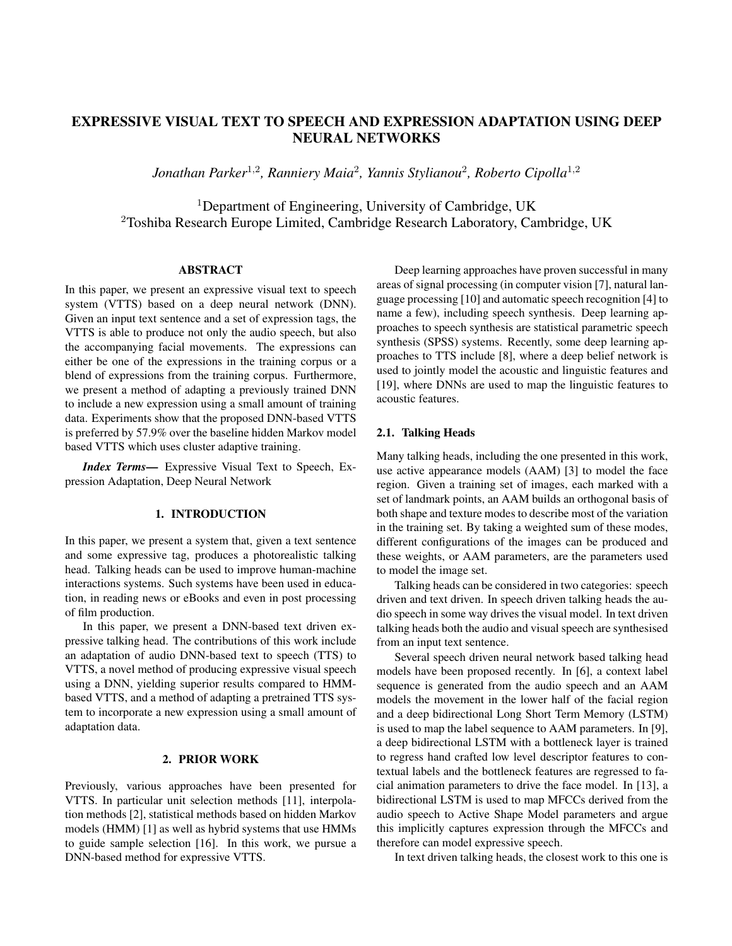# EXPRESSIVE VISUAL TEXT TO SPEECH AND EXPRESSION ADAPTATION USING DEEP NEURAL NETWORKS

*Jonathan Parker*<sup>1</sup>,<sup>2</sup> *, Ranniery Maia*<sup>2</sup> *, Yannis Stylianou*<sup>2</sup> *, Roberto Cipolla*<sup>1</sup>,<sup>2</sup>

<sup>1</sup>Department of Engineering, University of Cambridge, UK <sup>2</sup>Toshiba Research Europe Limited, Cambridge Research Laboratory, Cambridge, UK

# ABSTRACT

In this paper, we present an expressive visual text to speech system (VTTS) based on a deep neural network (DNN). Given an input text sentence and a set of expression tags, the VTTS is able to produce not only the audio speech, but also the accompanying facial movements. The expressions can either be one of the expressions in the training corpus or a blend of expressions from the training corpus. Furthermore, we present a method of adapting a previously trained DNN to include a new expression using a small amount of training data. Experiments show that the proposed DNN-based VTTS is preferred by 57.9% over the baseline hidden Markov model based VTTS which uses cluster adaptive training.

*Index Terms*— Expressive Visual Text to Speech, Expression Adaptation, Deep Neural Network

#### 1. INTRODUCTION

In this paper, we present a system that, given a text sentence and some expressive tag, produces a photorealistic talking head. Talking heads can be used to improve human-machine interactions systems. Such systems have been used in education, in reading news or eBooks and even in post processing of film production.

In this paper, we present a DNN-based text driven expressive talking head. The contributions of this work include an adaptation of audio DNN-based text to speech (TTS) to VTTS, a novel method of producing expressive visual speech using a DNN, yielding superior results compared to HMMbased VTTS, and a method of adapting a pretrained TTS system to incorporate a new expression using a small amount of adaptation data.

### 2. PRIOR WORK

Previously, various approaches have been presented for VTTS. In particular unit selection methods [11], interpolation methods [2], statistical methods based on hidden Markov models (HMM) [1] as well as hybrid systems that use HMMs to guide sample selection [16]. In this work, we pursue a DNN-based method for expressive VTTS.

Deep learning approaches have proven successful in many areas of signal processing (in computer vision [7], natural language processing [10] and automatic speech recognition [4] to name a few), including speech synthesis. Deep learning approaches to speech synthesis are statistical parametric speech synthesis (SPSS) systems. Recently, some deep learning approaches to TTS include [8], where a deep belief network is used to jointly model the acoustic and linguistic features and [19], where DNNs are used to map the linguistic features to acoustic features.

# 2.1. Talking Heads

Many talking heads, including the one presented in this work, use active appearance models (AAM) [3] to model the face region. Given a training set of images, each marked with a set of landmark points, an AAM builds an orthogonal basis of both shape and texture modes to describe most of the variation in the training set. By taking a weighted sum of these modes, different configurations of the images can be produced and these weights, or AAM parameters, are the parameters used to model the image set.

Talking heads can be considered in two categories: speech driven and text driven. In speech driven talking heads the audio speech in some way drives the visual model. In text driven talking heads both the audio and visual speech are synthesised from an input text sentence.

Several speech driven neural network based talking head models have been proposed recently. In [6], a context label sequence is generated from the audio speech and an AAM models the movement in the lower half of the facial region and a deep bidirectional Long Short Term Memory (LSTM) is used to map the label sequence to AAM parameters. In [9], a deep bidirectional LSTM with a bottleneck layer is trained to regress hand crafted low level descriptor features to contextual labels and the bottleneck features are regressed to facial animation parameters to drive the face model. In [13], a bidirectional LSTM is used to map MFCCs derived from the audio speech to Active Shape Model parameters and argue this implicitly captures expression through the MFCCs and therefore can model expressive speech.

In text driven talking heads, the closest work to this one is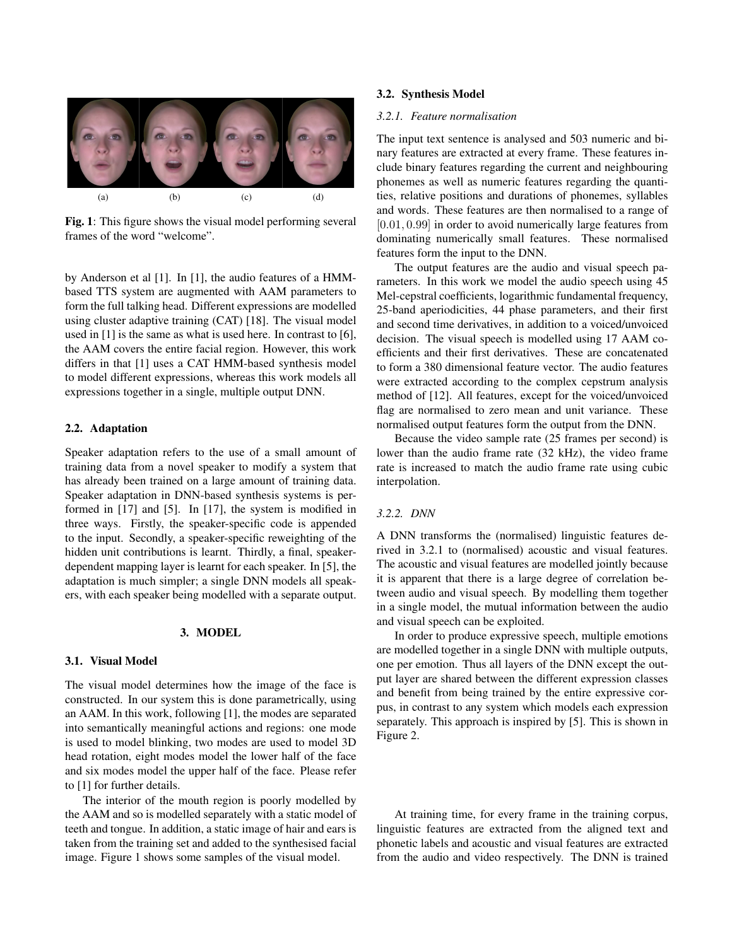

Fig. 1: This figure shows the visual model performing several frames of the word "welcome".

by Anderson et al [1]. In [1], the audio features of a HMMbased TTS system are augmented with AAM parameters to form the full talking head. Different expressions are modelled using cluster adaptive training (CAT) [18]. The visual model used in [1] is the same as what is used here. In contrast to [6], the AAM covers the entire facial region. However, this work differs in that [1] uses a CAT HMM-based synthesis model to model different expressions, whereas this work models all expressions together in a single, multiple output DNN.

#### 2.2. Adaptation

Speaker adaptation refers to the use of a small amount of training data from a novel speaker to modify a system that has already been trained on a large amount of training data. Speaker adaptation in DNN-based synthesis systems is performed in [17] and [5]. In [17], the system is modified in three ways. Firstly, the speaker-specific code is appended to the input. Secondly, a speaker-specific reweighting of the hidden unit contributions is learnt. Thirdly, a final, speakerdependent mapping layer is learnt for each speaker. In [5], the adaptation is much simpler; a single DNN models all speakers, with each speaker being modelled with a separate output.

#### 3. MODEL

#### 3.1. Visual Model

The visual model determines how the image of the face is constructed. In our system this is done parametrically, using an AAM. In this work, following [1], the modes are separated into semantically meaningful actions and regions: one mode is used to model blinking, two modes are used to model 3D head rotation, eight modes model the lower half of the face and six modes model the upper half of the face. Please refer to [1] for further details.

The interior of the mouth region is poorly modelled by the AAM and so is modelled separately with a static model of teeth and tongue. In addition, a static image of hair and ears is taken from the training set and added to the synthesised facial image. Figure 1 shows some samples of the visual model.

#### 3.2. Synthesis Model

#### *3.2.1. Feature normalisation*

The input text sentence is analysed and 503 numeric and binary features are extracted at every frame. These features include binary features regarding the current and neighbouring phonemes as well as numeric features regarding the quantities, relative positions and durations of phonemes, syllables and words. These features are then normalised to a range of [0.01, 0.99] in order to avoid numerically large features from dominating numerically small features. These normalised features form the input to the DNN.

The output features are the audio and visual speech parameters. In this work we model the audio speech using 45 Mel-cepstral coefficients, logarithmic fundamental frequency, 25-band aperiodicities, 44 phase parameters, and their first and second time derivatives, in addition to a voiced/unvoiced decision. The visual speech is modelled using 17 AAM coefficients and their first derivatives. These are concatenated to form a 380 dimensional feature vector. The audio features were extracted according to the complex cepstrum analysis method of [12]. All features, except for the voiced/unvoiced flag are normalised to zero mean and unit variance. These normalised output features form the output from the DNN.

Because the video sample rate (25 frames per second) is lower than the audio frame rate (32 kHz), the video frame rate is increased to match the audio frame rate using cubic interpolation.

#### *3.2.2. DNN*

A DNN transforms the (normalised) linguistic features derived in 3.2.1 to (normalised) acoustic and visual features. The acoustic and visual features are modelled jointly because it is apparent that there is a large degree of correlation between audio and visual speech. By modelling them together in a single model, the mutual information between the audio and visual speech can be exploited.

In order to produce expressive speech, multiple emotions are modelled together in a single DNN with multiple outputs, one per emotion. Thus all layers of the DNN except the output layer are shared between the different expression classes and benefit from being trained by the entire expressive corpus, in contrast to any system which models each expression separately. This approach is inspired by [5]. This is shown in Figure 2.

At training time, for every frame in the training corpus, linguistic features are extracted from the aligned text and phonetic labels and acoustic and visual features are extracted from the audio and video respectively. The DNN is trained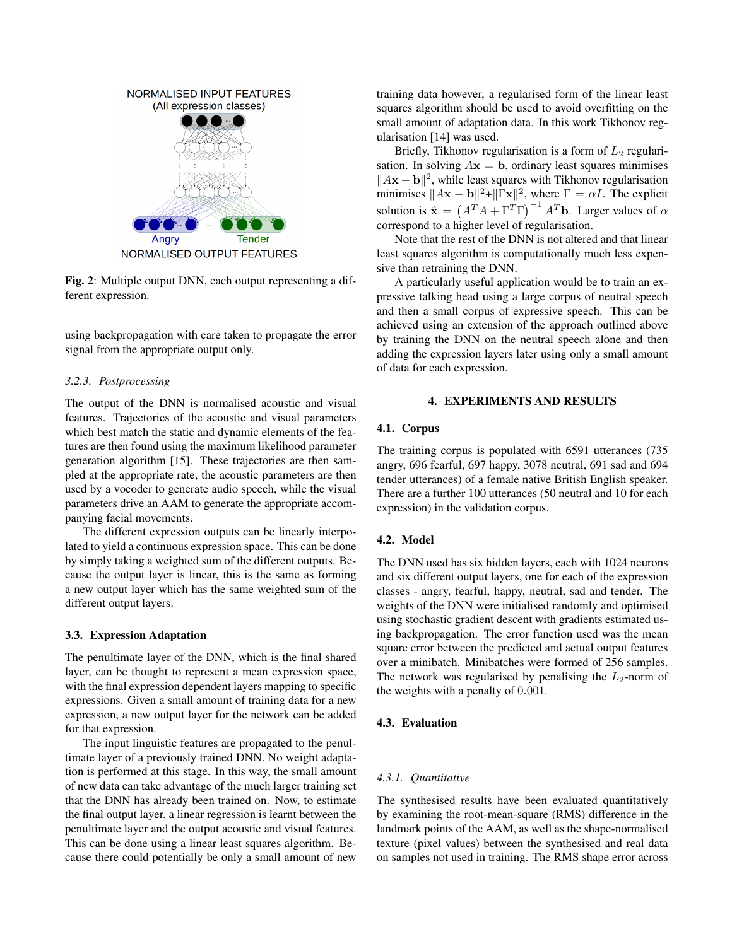

Fig. 2: Multiple output DNN, each output representing a different expression.

using backpropagation with care taken to propagate the error signal from the appropriate output only.

### *3.2.3. Postprocessing*

The output of the DNN is normalised acoustic and visual features. Trajectories of the acoustic and visual parameters which best match the static and dynamic elements of the features are then found using the maximum likelihood parameter generation algorithm [15]. These trajectories are then sampled at the appropriate rate, the acoustic parameters are then used by a vocoder to generate audio speech, while the visual parameters drive an AAM to generate the appropriate accompanying facial movements.

The different expression outputs can be linearly interpolated to yield a continuous expression space. This can be done by simply taking a weighted sum of the different outputs. Because the output layer is linear, this is the same as forming a new output layer which has the same weighted sum of the different output layers.

#### 3.3. Expression Adaptation

The penultimate layer of the DNN, which is the final shared layer, can be thought to represent a mean expression space, with the final expression dependent layers mapping to specific expressions. Given a small amount of training data for a new expression, a new output layer for the network can be added for that expression.

The input linguistic features are propagated to the penultimate layer of a previously trained DNN. No weight adaptation is performed at this stage. In this way, the small amount of new data can take advantage of the much larger training set that the DNN has already been trained on. Now, to estimate the final output layer, a linear regression is learnt between the penultimate layer and the output acoustic and visual features. This can be done using a linear least squares algorithm. Because there could potentially be only a small amount of new

training data however, a regularised form of the linear least squares algorithm should be used to avoid overfitting on the small amount of adaptation data. In this work Tikhonov regularisation [14] was used.

Briefly, Tikhonov regularisation is a form of  $L_2$  regularisation. In solving  $A\mathbf{x} = \mathbf{b}$ , ordinary least squares minimises  $\|A\mathbf{x} - \mathbf{b}\|^2$ , while least squares with Tikhonov regularisation minimises  $||A\mathbf{x} - \mathbf{b}||^2 + ||\Gamma \mathbf{x}||^2$ , where  $\Gamma = \alpha I$ . The explicit solution is  $\hat{\mathbf{x}} = (A^T A + \Gamma^T \Gamma)^{-1} A^T \mathbf{b}$ . Larger values of  $\alpha$ correspond to a higher level of regularisation.

Note that the rest of the DNN is not altered and that linear least squares algorithm is computationally much less expensive than retraining the DNN.

A particularly useful application would be to train an expressive talking head using a large corpus of neutral speech and then a small corpus of expressive speech. This can be achieved using an extension of the approach outlined above by training the DNN on the neutral speech alone and then adding the expression layers later using only a small amount of data for each expression.

# 4. EXPERIMENTS AND RESULTS

### 4.1. Corpus

The training corpus is populated with 6591 utterances (735 angry, 696 fearful, 697 happy, 3078 neutral, 691 sad and 694 tender utterances) of a female native British English speaker. There are a further 100 utterances (50 neutral and 10 for each expression) in the validation corpus.

# 4.2. Model

The DNN used has six hidden layers, each with 1024 neurons and six different output layers, one for each of the expression classes - angry, fearful, happy, neutral, sad and tender. The weights of the DNN were initialised randomly and optimised using stochastic gradient descent with gradients estimated using backpropagation. The error function used was the mean square error between the predicted and actual output features over a minibatch. Minibatches were formed of 256 samples. The network was regularised by penalising the  $L_2$ -norm of the weights with a penalty of 0.001.

# 4.3. Evaluation

#### *4.3.1. Quantitative*

The synthesised results have been evaluated quantitatively by examining the root-mean-square (RMS) difference in the landmark points of the AAM, as well as the shape-normalised texture (pixel values) between the synthesised and real data on samples not used in training. The RMS shape error across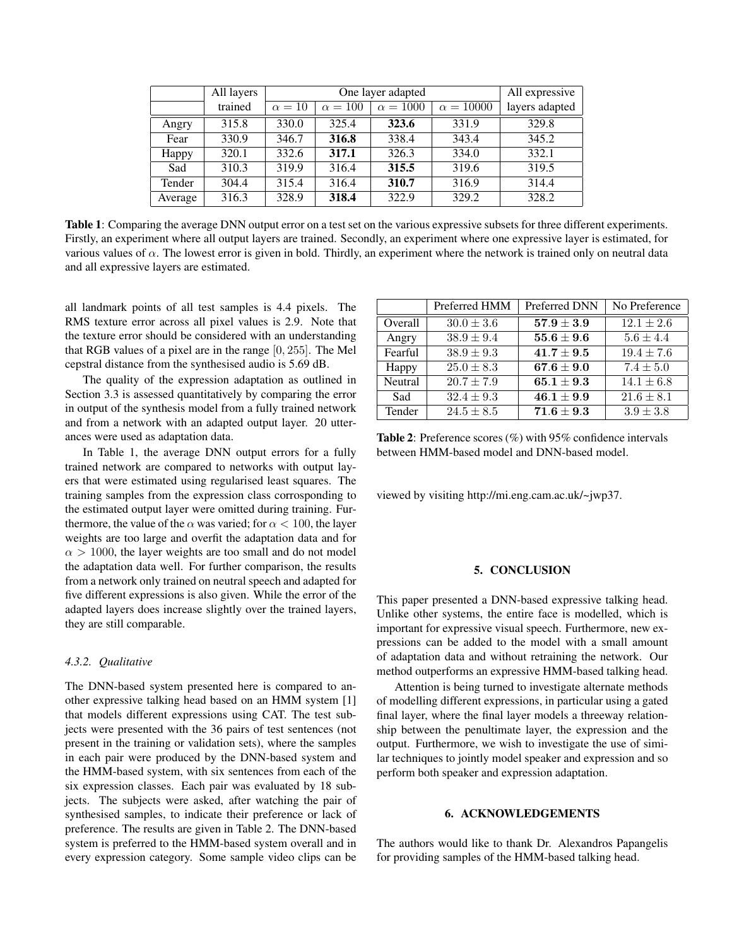|         | All layers | One layer adapted |                |                 | All expressive   |                |
|---------|------------|-------------------|----------------|-----------------|------------------|----------------|
|         | trained    | $\alpha = 10$     | $\alpha = 100$ | $\alpha = 1000$ | $\alpha = 10000$ | layers adapted |
| Angry   | 315.8      | 330.0             | 325.4          | 323.6           | 331.9            | 329.8          |
| Fear    | 330.9      | 346.7             | 316.8          | 338.4           | 343.4            | 345.2          |
| Happy   | 320.1      | 332.6             | 317.1          | 326.3           | 334.0            | 332.1          |
| Sad     | 310.3      | 319.9             | 316.4          | 315.5           | 319.6            | 319.5          |
| Tender  | 304.4      | 315.4             | 316.4          | 310.7           | 316.9            | 314.4          |
| Average | 316.3      | 328.9             | 318.4          | 322.9           | 329.2            | 328.2          |

Table 1: Comparing the average DNN output error on a test set on the various expressive subsets for three different experiments. Firstly, an experiment where all output layers are trained. Secondly, an experiment where one expressive layer is estimated, for various values of  $\alpha$ . The lowest error is given in bold. Thirdly, an experiment where the network is trained only on neutral data and all expressive layers are estimated.

all landmark points of all test samples is 4.4 pixels. The RMS texture error across all pixel values is 2.9. Note that the texture error should be considered with an understanding that RGB values of a pixel are in the range [0, 255]. The Mel cepstral distance from the synthesised audio is 5.69 dB.

The quality of the expression adaptation as outlined in Section 3.3 is assessed quantitatively by comparing the error in output of the synthesis model from a fully trained network and from a network with an adapted output layer. 20 utterances were used as adaptation data.

In Table 1, the average DNN output errors for a fully trained network are compared to networks with output layers that were estimated using regularised least squares. The training samples from the expression class corrosponding to the estimated output layer were omitted during training. Furthermore, the value of the  $\alpha$  was varied; for  $\alpha < 100$ , the layer weights are too large and overfit the adaptation data and for  $\alpha > 1000$ , the layer weights are too small and do not model the adaptation data well. For further comparison, the results from a network only trained on neutral speech and adapted for five different expressions is also given. While the error of the adapted layers does increase slightly over the trained layers, they are still comparable.

### *4.3.2. Qualitative*

The DNN-based system presented here is compared to another expressive talking head based on an HMM system [1] that models different expressions using CAT. The test subjects were presented with the 36 pairs of test sentences (not present in the training or validation sets), where the samples in each pair were produced by the DNN-based system and the HMM-based system, with six sentences from each of the six expression classes. Each pair was evaluated by 18 subjects. The subjects were asked, after watching the pair of synthesised samples, to indicate their preference or lack of preference. The results are given in Table 2. The DNN-based system is preferred to the HMM-based system overall and in every expression category. Some sample video clips can be

|         | Preferred HMM  | Preferred DNN                    | No Preference  |
|---------|----------------|----------------------------------|----------------|
| Overall | $30.0 \pm 3.6$ | $\textbf{57.9} \pm \textbf{3.9}$ | $12.1 \pm 2.6$ |
| Angry   | $38.9 \pm 9.4$ | $55.6 \pm 9.6$                   | $5.6 \pm 4.4$  |
| Fearful | $38.9 \pm 9.3$ | $41.7 \pm 9.5$                   | $19.4 \pm 7.6$ |
| Happy   | $25.0 \pm 8.3$ | $67.6 \pm 9.0$                   | $7.4 \pm 5.0$  |
| Neutral | $20.7 \pm 7.9$ | $65.1 \pm 9.3$                   | $14.1 \pm 6.8$ |
| Sad     | $32.4 \pm 9.3$ | $46.1 \pm 9.9$                   | $21.6 \pm 8.1$ |
| Tender  | $24.5 \pm 8.5$ | $71.6 \pm 9.3$                   | $3.9 \pm 3.8$  |

Table 2: Preference scores (%) with 95% confidence intervals between HMM-based model and DNN-based model.

viewed by visiting http://mi.eng.cam.ac.uk/~jwp37.

#### 5. CONCLUSION

This paper presented a DNN-based expressive talking head. Unlike other systems, the entire face is modelled, which is important for expressive visual speech. Furthermore, new expressions can be added to the model with a small amount of adaptation data and without retraining the network. Our method outperforms an expressive HMM-based talking head.

Attention is being turned to investigate alternate methods of modelling different expressions, in particular using a gated final layer, where the final layer models a threeway relationship between the penultimate layer, the expression and the output. Furthermore, we wish to investigate the use of similar techniques to jointly model speaker and expression and so perform both speaker and expression adaptation.

# 6. ACKNOWLEDGEMENTS

The authors would like to thank Dr. Alexandros Papangelis for providing samples of the HMM-based talking head.